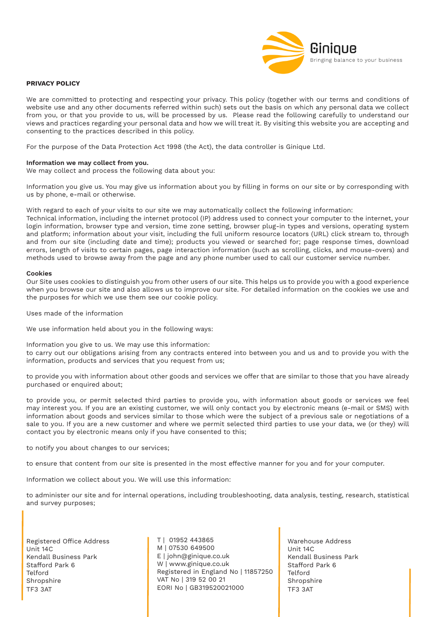

# **PRIVACY POLICY**

We are committed to protecting and respecting your privacy. This policy (together with our terms and conditions of website use and any other documents referred within such) sets out the basis on which any personal data we collect from you, or that you provide to us, will be processed by us. Please read the following carefully to understand our views and practices regarding your personal data and how we will treat it. By visiting this website you are accepting and consenting to the practices described in this policy.

For the purpose of the Data Protection Act 1998 (the Act), the data controller is Ginique Ltd.

## **Information we may collect from you.**

We may collect and process the following data about you:

Information you give us. You may give us information about you by filling in forms on our site or by corresponding with us by phone, e-mail or otherwise.

With regard to each of your visits to our site we may automatically collect the following information:

Technical information, including the internet protocol (IP) address used to connect your computer to the internet, your login information, browser type and version, time zone setting, browser plug-in types and versions, operating system and platform; information about your visit, including the full uniform resource locators (URL) click stream to, through and from our site (including date and time); products you viewed or searched for; page response times, download errors, length of visits to certain pages, page interaction information (such as scrolling, clicks, and mouse-overs) and methods used to browse away from the page and any phone number used to call our customer service number.

#### **Cookies**

Our Site uses cookies to distinguish you from other users of our site. This helps us to provide you with a good experience when you browse our site and also allows us to improve our site. For detailed information on the cookies we use and the purposes for which we use them see our cookie policy.

Uses made of the information

We use information held about you in the following ways:

Information you give to us. We may use this information: to carry out our obligations arising from any contracts entered into between you and us and to provide you with the information, products and services that you request from us;

to provide you with information about other goods and services we offer that are similar to those that you have already purchased or enquired about;

to provide you, or permit selected third parties to provide you, with information about goods or services we feel may interest you. If you are an existing customer, we will only contact you by electronic means (e-mail or SMS) with information about goods and services similar to those which were the subject of a previous sale or negotiations of a sale to you. If you are a new customer and where we permit selected third parties to use your data, we (or they) will contact you by electronic means only if you have consented to this;

to notify you about changes to our services;

to ensure that content from our site is presented in the most effective manner for you and for your computer.

Information we collect about you. We will use this information:

to administer our site and for internal operations, including troubleshooting, data analysis, testing, research, statistical and survey purposes;

Registered Office Address Unit 14C Kendall Business Park Stafford Park 6 Telford Shropshire TF3 3AT

T | 01952 443865 M | 07530 649500 E | john@ginique.co.uk W | www.ginique.co.uk Registered in England No | 11857250 VAT No | 319 52 00 21 EORI No | GB319520021000

Warehouse Address Unit 14C Kendall Business Park Stafford Park 6 Telford Shropshire TF3 3AT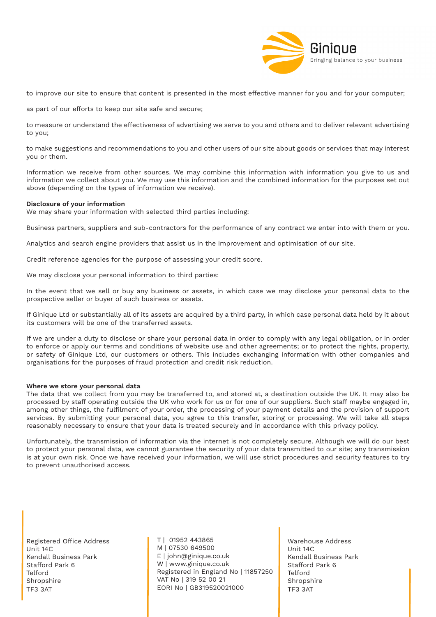

to improve our site to ensure that content is presented in the most effective manner for you and for your computer;

as part of our efforts to keep our site safe and secure;

to measure or understand the effectiveness of advertising we serve to you and others and to deliver relevant advertising to you;

to make suggestions and recommendations to you and other users of our site about goods or services that may interest you or them.

Information we receive from other sources. We may combine this information with information you give to us and information we collect about you. We may use this information and the combined information for the purposes set out above (depending on the types of information we receive).

## **Disclosure of your information**

We may share your information with selected third parties including:

Business partners, suppliers and sub-contractors for the performance of any contract we enter into with them or you.

Analytics and search engine providers that assist us in the improvement and optimisation of our site.

Credit reference agencies for the purpose of assessing your credit score.

We may disclose your personal information to third parties:

In the event that we sell or buy any business or assets, in which case we may disclose your personal data to the prospective seller or buyer of such business or assets.

If Ginique Ltd or substantially all of its assets are acquired by a third party, in which case personal data held by it about its customers will be one of the transferred assets.

If we are under a duty to disclose or share your personal data in order to comply with any legal obligation, or in order to enforce or apply our terms and conditions of website use and other agreements; or to protect the rights, property, or safety of Ginique Ltd, our customers or others. This includes exchanging information with other companies and organisations for the purposes of fraud protection and credit risk reduction.

#### **Where we store your personal data**

The data that we collect from you may be transferred to, and stored at, a destination outside the UK. It may also be processed by staff operating outside the UK who work for us or for one of our suppliers. Such staff maybe engaged in, among other things, the fulfilment of your order, the processing of your payment details and the provision of support services. By submitting your personal data, you agree to this transfer, storing or processing. We will take all steps reasonably necessary to ensure that your data is treated securely and in accordance with this privacy policy.

Unfortunately, the transmission of information via the internet is not completely secure. Although we will do our best to protect your personal data, we cannot guarantee the security of your data transmitted to our site; any transmission is at your own risk. Once we have received your information, we will use strict procedures and security features to try to prevent unauthorised access.

Registered Office Address Unit 14C Kendall Business Park Stafford Park 6 Telford Shropshire TF3 3AT

T | 01952 443865 M | 07530 649500 E | john@ginique.co.uk W | www.ginique.co.uk Registered in England No | 11857250 VAT No | 319 52 00 21 EORI No | GB319520021000

Warehouse Address Unit 14C Kendall Business Park Stafford Park 6 Telford Shropshire TF3 3AT